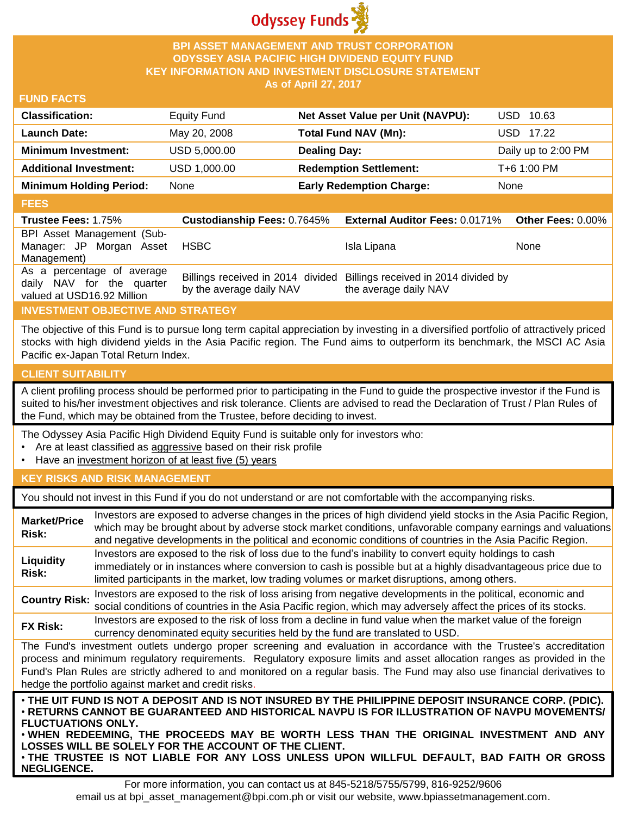

### **BPI ASSET MANAGEMENT AND TRUST CORPORATION ODYSSEY ASIA PACIFIC HIGH DIVIDEND EQUITY FUND KEY INFORMATION AND INVESTMENT DISCLOSURE STATEMENT As of April 27, 2017**

#### **FUND FACTS**

| <b>Classification:</b>         | <b>Equity Fund</b> | Net Asset Value per Unit (NAVPU): | USD 10.63           |
|--------------------------------|--------------------|-----------------------------------|---------------------|
| Launch Date:                   | May 20, 2008       | Total Fund NAV (Mn):              | USD 17.22           |
| <b>Minimum Investment:</b>     | USD 5,000.00       | <b>Dealing Day:</b>               | Daily up to 2:00 PM |
| <b>Additional Investment:</b>  | USD 1,000.00       | <b>Redemption Settlement:</b>     | T+6 1:00 PM         |
| <b>Minimum Holding Period:</b> | None               | <b>Early Redemption Charge:</b>   | None                |
|                                |                    |                                   |                     |

#### **FEES**

| <b>Trustee Fees: 1.75%</b>                                                            | <b>Custodianship Fees: 0.7645%</b> | <b>External Auditor Fees: 0.0171% Other Fees: 0.00%</b>                                         |      |
|---------------------------------------------------------------------------------------|------------------------------------|-------------------------------------------------------------------------------------------------|------|
| BPI Asset Management (Sub-<br>Manager: JP Morgan Asset<br>Management)                 | HSBC                               | Isla Lipana                                                                                     | None |
| As a percentage of average<br>daily NAV for the quarter<br>valued at USD16.92 Million | by the average daily NAV           | Billings received in 2014 divided Billings received in 2014 divided by<br>the average daily NAV |      |

# **INVESTMENT OBJECTIVE AND STRATEGY**

The objective of this Fund is to pursue long term capital appreciation by investing in a diversified portfolio of attractively priced stocks with high dividend yields in the Asia Pacific region. The Fund aims to outperform its benchmark, the MSCI AC Asia Pacific ex-Japan Total Return Index.

# **CLIENT SUITABILITY**

**NEGLIGENCE.**

A client profiling process should be performed prior to participating in the Fund to guide the prospective investor if the Fund is suited to his/her investment objectives and risk tolerance. Clients are advised to read the Declaration of Trust / Plan Rules of the Fund, which may be obtained from the Trustee, before deciding to invest.

The Odyssey Asia Pacific High Dividend Equity Fund is suitable only for investors who:

- Are at least classified as aggressive based on their risk profile
- Have an investment horizon of at least five (5) years

# **KEY RISKS AND RISK MANAGEMENT**

You should not invest in this Fund if you do not understand or are not comfortable with the accompanying risks.

| <b>Market/Price</b><br>Risk:                                                                                                                                                                                                                                                                                                                                                                                                                                                 | Investors are exposed to adverse changes in the prices of high dividend yield stocks in the Asia Pacific Region,<br>which may be brought about by adverse stock market conditions, unfavorable company earnings and valuations<br>and negative developments in the political and economic conditions of countries in the Asia Pacific Region. |  |
|------------------------------------------------------------------------------------------------------------------------------------------------------------------------------------------------------------------------------------------------------------------------------------------------------------------------------------------------------------------------------------------------------------------------------------------------------------------------------|-----------------------------------------------------------------------------------------------------------------------------------------------------------------------------------------------------------------------------------------------------------------------------------------------------------------------------------------------|--|
| Liquidity<br>Risk:                                                                                                                                                                                                                                                                                                                                                                                                                                                           | Investors are exposed to the risk of loss due to the fund's inability to convert equity holdings to cash<br>immediately or in instances where conversion to cash is possible but at a highly disadvantageous price due to<br>limited participants in the market, low trading volumes or market disruptions, among others.                     |  |
| <b>Country Risk:</b>                                                                                                                                                                                                                                                                                                                                                                                                                                                         | Investors are exposed to the risk of loss arising from negative developments in the political, economic and<br>social conditions of countries in the Asia Pacific region, which may adversely affect the prices of its stocks.                                                                                                                |  |
| <b>FX Risk:</b>                                                                                                                                                                                                                                                                                                                                                                                                                                                              | Investors are exposed to the risk of loss from a decline in fund value when the market value of the foreign<br>currency denominated equity securities held by the fund are translated to USD.                                                                                                                                                 |  |
| The Fund's investment outlets undergo proper screening and evaluation in accordance with the Trustee's accreditation<br>process and minimum regulatory requirements. Regulatory exposure limits and asset allocation ranges as provided in the<br>Fund's Plan Rules are strictly adhered to and monitored on a regular basis. The Fund may also use financial derivatives to<br>hedge the portfolio against market and credit risks.                                         |                                                                                                                                                                                                                                                                                                                                               |  |
| . THE UIT FUND IS NOT A DEPOSIT AND IS NOT INSURED BY THE PHILIPPINE DEPOSIT INSURANCE CORP. (PDIC).<br>⋅RETURNS CANNOT BE GUARANTEED AND HISTORICAL NAVPU IS FOR ILLUSTRATION OF NAVPU MOVEMENTS/<br><b>FLUCTUATIONS ONLY.</b><br>. WHEN REDEEMING, THE PROCEEDS MAY BE WORTH LESS THAN THE ORIGINAL INVESTMENT AND ANY<br>LOSSES WILL BE SOLELY FOR THE ACCOUNT OF THE CLIENT.<br>. THE TRUSTEE IS NOT LIABLE FOR ANY LOSS UNLESS UPON WILLFUL DEFAULT, BAD FAITH OR GROSS |                                                                                                                                                                                                                                                                                                                                               |  |

For more information, you can contact us at 845-5218/5755/5799, 816-9252/9606 email us at bpi\_asset\_management@bpi.com.ph or visit our website, www.bpiassetmanagement.com.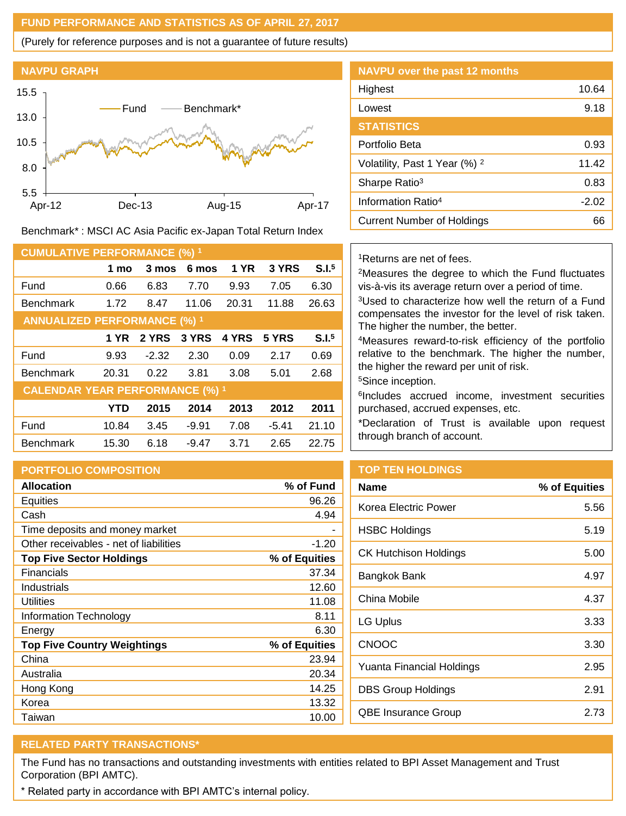### **FUND PERFORMANCE AND STATISTICS AS OF APRIL 27, 2017**

(Purely for reference purposes and is not a guarantee of future results)



Benchmark\* : MSCI AC Asia Pacific ex-Japan Total Return Index

| <b>CUMULATIVE PERFORMANCE (%) 1</b>    |            |         |         |             |         |                   |
|----------------------------------------|------------|---------|---------|-------------|---------|-------------------|
|                                        | 1 mo       | 3 mos   | 6 mos   | <b>1 YR</b> | 3 YRS   | S.I. <sup>5</sup> |
| Fund                                   | 0.66       | 6.83    | 7.70    | 9.93        | 7.05    | 6.30              |
| <b>Benchmark</b>                       | 1.72       | 8.47    | 11.06   | 20.31       | 11.88   | 26.63             |
| <b>ANNUALIZED PERFORMANCE (%) 1</b>    |            |         |         |             |         |                   |
|                                        | 1 YR       | 2 YRS   | 3 YRS   | 4 YRS       | 5 YRS   | S.I. <sup>5</sup> |
| Fund                                   | 9.93       | $-2.32$ | 2.30    | 0.09        | 2.17    | 0.69              |
| <b>Benchmark</b>                       | 20.31      | 0.22    | 3.81    | 3.08        | 5.01    | 2.68              |
| <b>CALENDAR YEAR PERFORMANCE (%) 1</b> |            |         |         |             |         |                   |
|                                        | <b>YTD</b> | 2015    | 2014    | 2013        | 2012    | 2011              |
| Fund                                   | 10.84      | 3.45    | $-9.91$ | 7.08        | $-5.41$ | 21.10             |
| <b>Benchmark</b>                       | 15.30      | 6.18    | $-9.47$ | 3.71        | 2.65    | 22.75             |

# **PORTFOLIO COMPOSITION**

| <b>Allocation</b>                      | % of Fund     |
|----------------------------------------|---------------|
| <b>Equities</b>                        | 96.26         |
| Cash                                   | 4.94          |
| Time deposits and money market         |               |
| Other receivables - net of liabilities | -1.20         |
| <b>Top Five Sector Holdings</b>        | % of Equities |
| <b>Financials</b>                      | 37.34         |
| Industrials                            | 12.60         |
| Utilities                              | 11.08         |
| Information Technology                 | 8.11          |
| Energy                                 | 6.30          |
| <b>Top Five Country Weightings</b>     | % of Equities |
| China                                  | 23.94         |
| Australia                              | 20.34         |
| Hong Kong                              | 14.25         |
| Korea                                  | 13.32         |
| Taiwan                                 | 10.00         |

| <b>NAVPU over the past 12 months</b>     |         |
|------------------------------------------|---------|
| Highest                                  | 10.64   |
| Lowest                                   | 9.18    |
| <b>STATISTICS</b>                        |         |
| Portfolio Beta                           | 0.93    |
| Volatility, Past 1 Year (%) <sup>2</sup> | 11.42   |
| Sharpe Ratio <sup>3</sup>                | 0.83    |
| Information Ratio <sup>4</sup>           | $-2.02$ |
| Current Number of Holdings               | 66      |
|                                          |         |

### <sup>1</sup>Returns are net of fees.

<sup>2</sup>Measures the degree to which the Fund fluctuates vis-à-vis its average return over a period of time.

<sup>3</sup>Used to characterize how well the return of a Fund compensates the investor for the level of risk taken. The higher the number, the better.

<sup>4</sup>Measures reward-to-risk efficiency of the portfolio relative to the benchmark. The higher the number, the higher the reward per unit of risk.

<sup>5</sup>Since inception.

6 Includes accrued income, investment securities purchased, accrued expenses, etc.

\*Declaration of Trust is available upon request through branch of account.

# **TOP TEN HOLDINGS**

| % of Equities |
|---------------|
| 5.56          |
| 5.19          |
| 5.00          |
| 4.97          |
| 4.37          |
| 3.33          |
| 3.30          |
| 2.95          |
| 2.91          |
| 2.73          |
|               |

# **RELATED PARTY TRANSACTIONS\***

The Fund has no transactions and outstanding investments with entities related to BPI Asset Management and Trust Corporation (BPI AMTC).

\* Related party in accordance with BPI AMTC's internal policy.